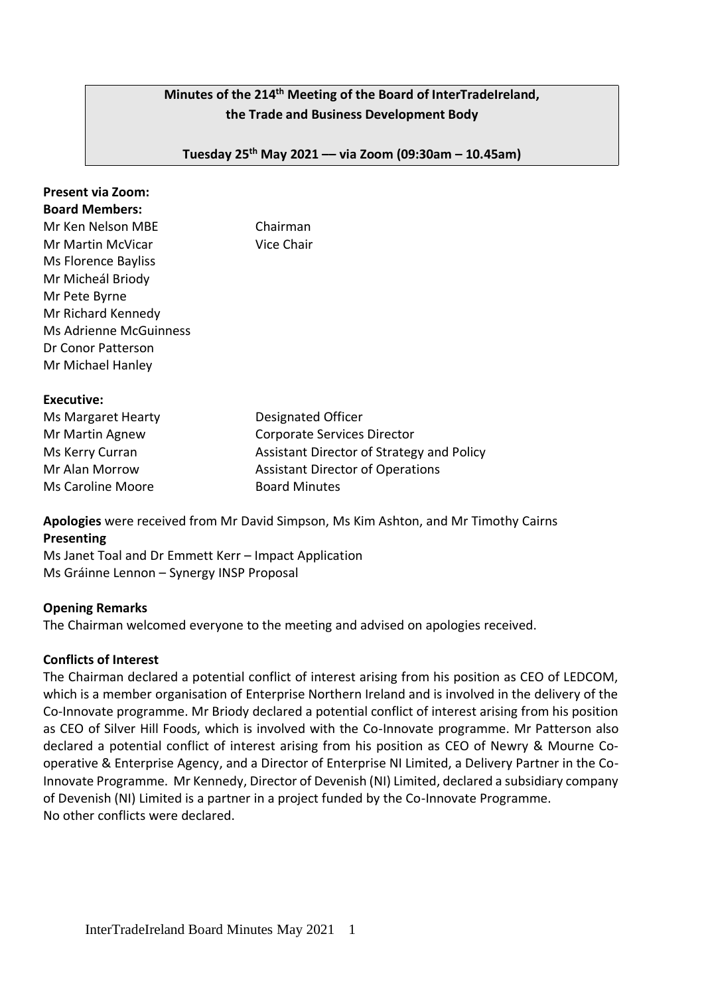# **Minutes of the 214 th Meeting of the Board of InterTradeIreland, the Trade and Business Development Body**

**Tuesday 25th May 2021 –– via Zoom (09:30am – 10.45am)**

| Present via Zoom:     |  |
|-----------------------|--|
| <b>Board Members:</b> |  |

Mr Ken Nelson MBE Chairman

| Mr Martin McVicar             | Vice Chair |
|-------------------------------|------------|
| Ms Florence Bayliss           |            |
| Mr Micheál Briody             |            |
| Mr Pete Byrne                 |            |
| Mr Richard Kennedy            |            |
| <b>Ms Adrienne McGuinness</b> |            |
| Dr Conor Patterson            |            |
| Mr Michael Hanley             |            |

**Executive:**

| Ms Margaret Hearty | Designated Officer                        |
|--------------------|-------------------------------------------|
| Mr Martin Agnew    | <b>Corporate Services Director</b>        |
| Ms Kerry Curran    | Assistant Director of Strategy and Policy |
| Mr Alan Morrow     | <b>Assistant Director of Operations</b>   |
| Ms Caroline Moore  | <b>Board Minutes</b>                      |

**Apologies** were received from Mr David Simpson, Ms Kim Ashton, and Mr Timothy Cairns **Presenting** 

Ms Janet Toal and Dr Emmett Kerr – Impact Application Ms Gráinne Lennon – Synergy INSP Proposal

# **Opening Remarks**

The Chairman welcomed everyone to the meeting and advised on apologies received.

# **Conflicts of Interest**

The Chairman declared a potential conflict of interest arising from his position as CEO of LEDCOM, which is a member organisation of Enterprise Northern Ireland and is involved in the delivery of the Co-Innovate programme. Mr Briody declared a potential conflict of interest arising from his position as CEO of Silver Hill Foods, which is involved with the Co-Innovate programme. Mr Patterson also declared a potential conflict of interest arising from his position as CEO of Newry & Mourne Cooperative & Enterprise Agency, and a Director of Enterprise NI Limited, a Delivery Partner in the Co-Innovate Programme. Mr Kennedy, Director of Devenish (NI) Limited, declared a subsidiary company of Devenish (NI) Limited is a partner in a project funded by the Co-Innovate Programme. No other conflicts were declared.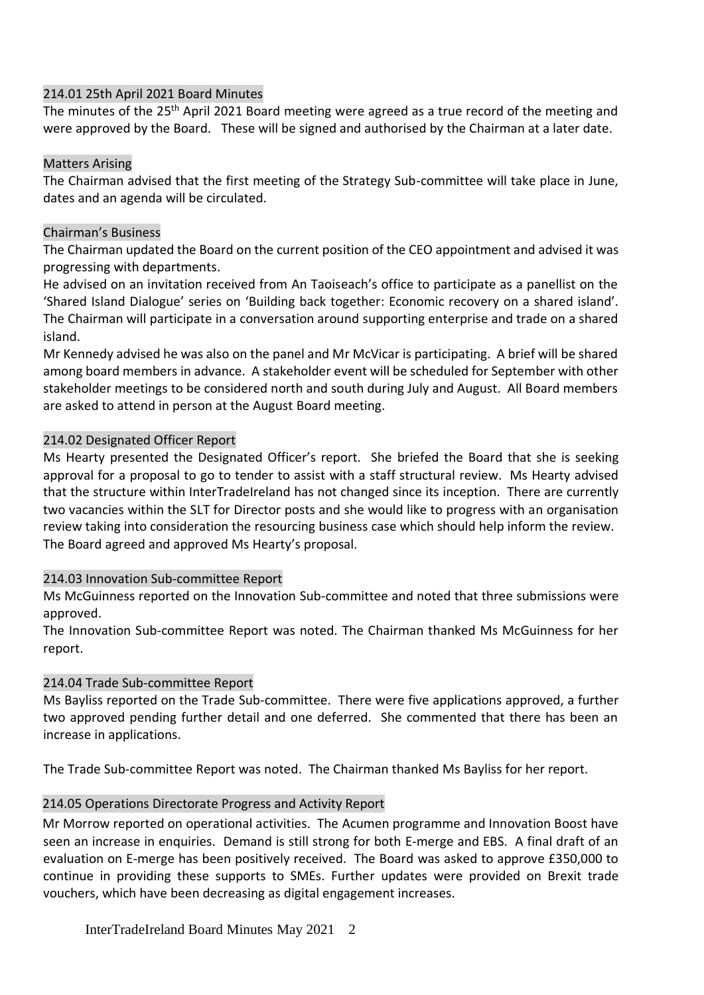## 214.01 25th April 2021 Board Minutes

The minutes of the 25<sup>th</sup> April 2021 Board meeting were agreed as a true record of the meeting and were approved by the Board. These will be signed and authorised by the Chairman at a later date.

### Matters Arising

The Chairman advised that the first meeting of the Strategy Sub-committee will take place in June, dates and an agenda will be circulated.

## Chairman's Business

The Chairman updated the Board on the current position of the CEO appointment and advised it was progressing with departments.

He advised on an invitation received from An Taoiseach's office to participate as a panellist on the 'Shared Island Dialogue' series on 'Building back together: Economic recovery on a shared island'. The Chairman will participate in a conversation around supporting enterprise and trade on a shared island.

Mr Kennedy advised he was also on the panel and Mr McVicar is participating. A brief will be shared among board members in advance. A stakeholder event will be scheduled for September with other stakeholder meetings to be considered north and south during July and August. All Board members are asked to attend in person at the August Board meeting.

## 214.02 Designated Officer Report

Ms Hearty presented the Designated Officer's report. She briefed the Board that she is seeking approval for a proposal to go to tender to assist with a staff structural review. Ms Hearty advised that the structure within InterTradeIreland has not changed since its inception. There are currently two vacancies within the SLT for Director posts and she would like to progress with an organisation review taking into consideration the resourcing business case which should help inform the review. The Board agreed and approved Ms Hearty's proposal.

# 214.03 Innovation Sub-committee Report

Ms McGuinness reported on the Innovation Sub-committee and noted that three submissions were approved.

The Innovation Sub-committee Report was noted. The Chairman thanked Ms McGuinness for her report.

# 214.04 Trade Sub-committee Report

Ms Bayliss reported on the Trade Sub-committee. There were five applications approved, a further two approved pending further detail and one deferred. She commented that there has been an increase in applications.

The Trade Sub-committee Report was noted. The Chairman thanked Ms Bayliss for her report.

# 214.05 Operations Directorate Progress and Activity Report

Mr Morrow reported on operational activities. The Acumen programme and Innovation Boost have seen an increase in enquiries. Demand is still strong for both E-merge and EBS. A final draft of an evaluation on E-merge has been positively received. The Board was asked to approve £350,000 to continue in providing these supports to SMEs. Further updates were provided on Brexit trade vouchers, which have been decreasing as digital engagement increases.

InterTradeIreland Board Minutes May 2021 2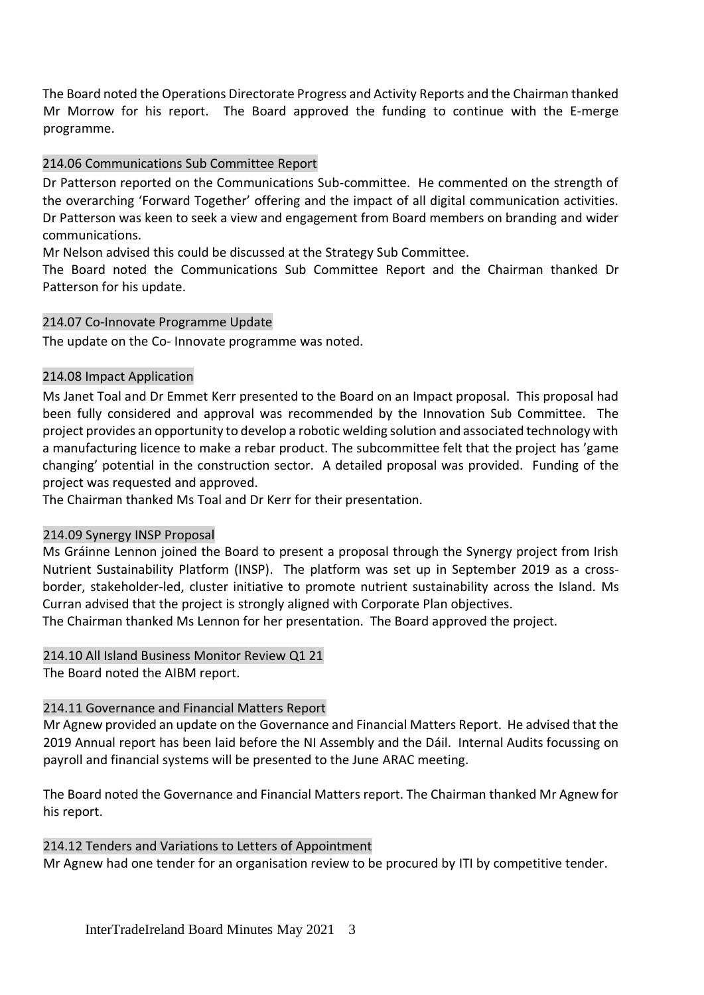The Board noted the Operations Directorate Progress and Activity Reports and the Chairman thanked Mr Morrow for his report. The Board approved the funding to continue with the E-merge programme.

## 214.06 Communications Sub Committee Report

Dr Patterson reported on the Communications Sub-committee. He commented on the strength of the overarching 'Forward Together' offering and the impact of all digital communication activities. Dr Patterson was keen to seek a view and engagement from Board members on branding and wider communications.

Mr Nelson advised this could be discussed at the Strategy Sub Committee.

The Board noted the Communications Sub Committee Report and the Chairman thanked Dr Patterson for his update.

## 214.07 Co-Innovate Programme Update

The update on the Co- Innovate programme was noted.

## 214.08 Impact Application

Ms Janet Toal and Dr Emmet Kerr presented to the Board on an Impact proposal. This proposal had been fully considered and approval was recommended by the Innovation Sub Committee. The project provides an opportunity to develop a robotic welding solution and associated technology with a manufacturing licence to make a rebar product. The subcommittee felt that the project has 'game changing' potential in the construction sector. A detailed proposal was provided. Funding of the project was requested and approved.

The Chairman thanked Ms Toal and Dr Kerr for their presentation.

#### 214.09 Synergy INSP Proposal

Ms Gráinne Lennon joined the Board to present a proposal through the Synergy project from Irish Nutrient Sustainability Platform (INSP). The platform was set up in September 2019 as a crossborder, stakeholder-led, cluster initiative to promote nutrient sustainability across the Island. Ms Curran advised that the project is strongly aligned with Corporate Plan objectives.

The Chairman thanked Ms Lennon for her presentation. The Board approved the project.

#### 214.10 All Island Business Monitor Review Q1 21

The Board noted the AIBM report.

# 214.11 Governance and Financial Matters Report

Mr Agnew provided an update on the Governance and Financial Matters Report. He advised that the 2019 Annual report has been laid before the NI Assembly and the Dáil. Internal Audits focussing on payroll and financial systems will be presented to the June ARAC meeting.

The Board noted the Governance and Financial Matters report. The Chairman thanked Mr Agnew for his report.

#### 214.12 Tenders and Variations to Letters of Appointment

Mr Agnew had one tender for an organisation review to be procured by ITI by competitive tender.